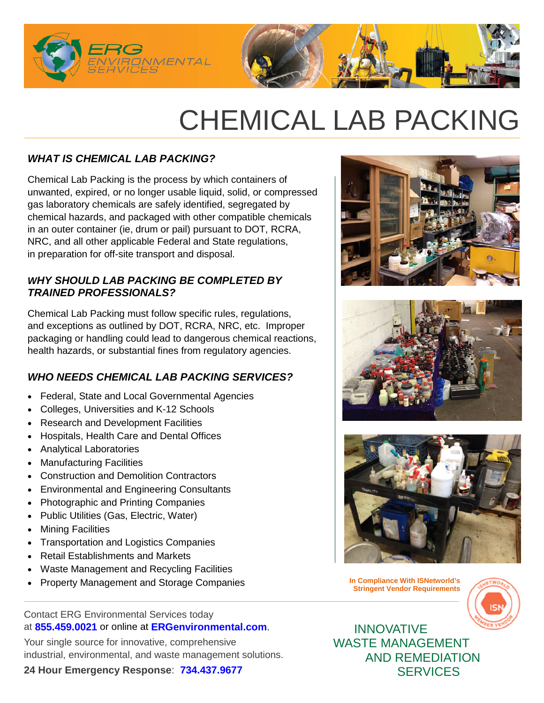

# CHEMICAL LAB PACKING

# *WHAT IS CHEMICAL LAB PACKING?*

Chemical Lab Packing is the process by which containers of unwanted, expired, or no longer usable liquid, solid, or compressed gas laboratory chemicals are safely identified, segregated by chemical hazards, and packaged with other compatible chemicals in an outer container (ie, drum or pail) pursuant to DOT, RCRA, NRC, and all other applicable Federal and State regulations, in preparation for off-site transport and disposal.

#### *WHY SHOULD LAB PACKING BE COMPLETED BY TRAINED PROFESSIONALS?*

Chemical Lab Packing must follow specific rules, regulations, and exceptions as outlined by DOT, RCRA, NRC, etc. Improper packaging or handling could lead to dangerous chemical reactions, health hazards, or substantial fines from regulatory agencies.

# *WHO NEEDS CHEMICAL LAB PACKING SERVICES?*

- Federal, State and Local Governmental Agencies
- Colleges, Universities and K-12 Schools
- Research and Development Facilities
- Hospitals, Health Care and Dental Offices
- Analytical Laboratories
- Manufacturing Facilities
- Construction and Demolition Contractors
- Environmental and Engineering Consultants
- Photographic and Printing Companies
- Public Utilities (Gas, Electric, Water)
- Mining Facilities
- Transportation and Logistics Companies
- Retail Establishments and Markets
- Waste Management and Recycling Facilities
- Property Management and Storage Companies **In Compliance With ISNetworld's**

Contact ERG Environmental Services today at **855.459.0021** or online at **ERGenvironmental.com**.

Your single source for innovative, comprehensive industrial, environmental, and waste management solutions.

**24 Hour Emergency Response**: **734.437.9677**







**Stringent Vendor Requirements**



INNOVATIVE WASTE MANAGEMENT AND REMEDIATION **SERVICES**